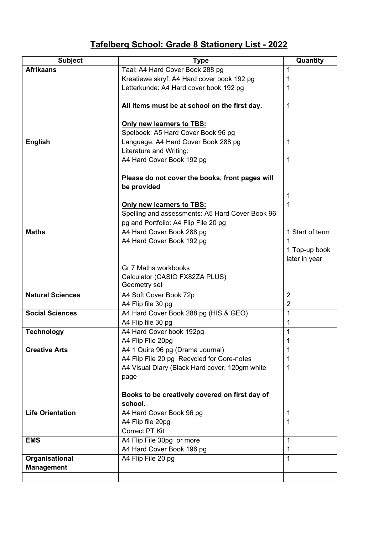## **Tafelberg School: Grade 8 Stationery List - 2022**

| <b>Subject</b>          | <b>Type</b>                                                                  | Quantity        |
|-------------------------|------------------------------------------------------------------------------|-----------------|
| <b>Afrikaans</b>        | Taal: A4 Hard Cover Book 288 pg                                              | 1               |
|                         | Kreatiewe skryf: A4 Hard cover book 192 pg                                   |                 |
|                         | Letterkunde: A4 Hard cover book 192 pg                                       | 1               |
|                         |                                                                              |                 |
|                         | All items must be at school on the first day.                                | 1               |
|                         |                                                                              |                 |
|                         | <b>Only new learners to TBS:</b>                                             |                 |
|                         | Spelboek: A5 Hard Cover Book 96 pg                                           |                 |
| <b>English</b>          | Language: A4 Hard Cover Book 288 pg                                          | 1               |
|                         | Literature and Writing:                                                      |                 |
|                         | A4 Hard Cover Book 192 pg                                                    | 1               |
|                         |                                                                              |                 |
|                         | Please do not cover the books, front pages will                              |                 |
|                         | be provided                                                                  |                 |
|                         |                                                                              | 1<br>1          |
|                         | Only new learners to TBS:<br>Spelling and assessments: A5 Hard Cover Book 96 |                 |
|                         | pg and Portfolio: A4 Flip File 20 pg                                         |                 |
| <b>Maths</b>            | A4 Hard Cover Book 288 pg                                                    | 1 Start of term |
|                         | A4 Hard Cover Book 192 pg                                                    | 1               |
|                         |                                                                              | 1 Top-up book   |
|                         |                                                                              | later in year   |
|                         | Gr 7 Maths workbooks                                                         |                 |
|                         | Calculator (CASIO FX82ZA PLUS)                                               |                 |
|                         | Geometry set                                                                 |                 |
| <b>Natural Sciences</b> | A4 Soft Cover Book 72p                                                       | $\overline{2}$  |
|                         | A4 Flip file 30 pg                                                           | $\overline{2}$  |
| <b>Social Sciences</b>  | A4 Hard Cover Book 288 pg (HIS & GEO)                                        | 1               |
|                         | A4 Flip file 30 pg                                                           | 1               |
| <b>Technology</b>       | A4 Hard Cover book 192pg                                                     | 1               |
|                         | A4 Flip File 20pg                                                            | Ί               |
| <b>Creative Arts</b>    | A4 1 Quire 96 pg (Drama Journal)                                             | 1               |
|                         | A4 Flip File 20 pg Recycled for Core-notes                                   | 1               |
|                         | A4 Visual Diary (Black Hard cover, 120gm white                               | 1               |
|                         | page                                                                         |                 |
|                         |                                                                              |                 |
|                         | Books to be creatively covered on first day of                               |                 |
|                         | school.                                                                      |                 |
| <b>Life Orientation</b> | A4 Hard Cover Book 96 pg                                                     | 1               |
|                         | A4 Flip file 20pg                                                            | 1               |
|                         | <b>Correct PT Kit</b>                                                        |                 |
| <b>EMS</b>              | A4 Flip File 30pg or more                                                    | 1               |
|                         | A4 Hard Cover Book 196 pg                                                    | 1               |
| Organisational          | A4 Flip File 20 pg                                                           | 1               |
| <b>Management</b>       |                                                                              |                 |
|                         |                                                                              |                 |